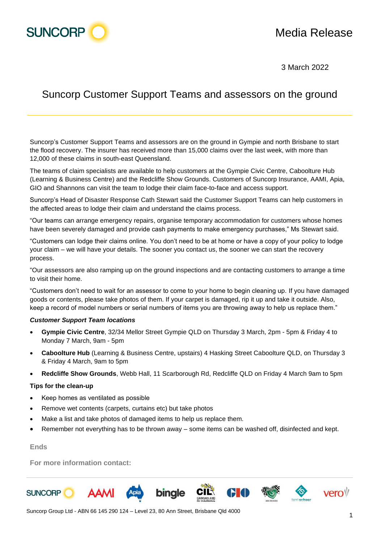

3 March 2022

## Suncorp Customer Support Teams and assessors on the ground

Suncorp's Customer Support Teams and assessors are on the ground in Gympie and north Brisbane to start the flood recovery. The insurer has received more than 15,000 claims over the last week, with more than 12,000 of these claims in south-east Queensland.

The teams of claim specialists are available to help customers at the Gympie Civic Centre, Caboolture Hub (Learning & Business Centre) and the Redcliffe Show Grounds. Customers of Suncorp Insurance, AAMI, Apia, GIO and Shannons can visit the team to lodge their claim face-to-face and access support.

Suncorp's Head of Disaster Response Cath Stewart said the Customer Support Teams can help customers in the affected areas to lodge their claim and understand the claims process.

"Our teams can arrange emergency repairs, organise temporary accommodation for customers whose homes have been severely damaged and provide cash payments to make emergency purchases," Ms Stewart said.

"Customers can lodge their claims online. You don't need to be at home or have a copy of your policy to lodge your claim – we will have your details. The sooner you contact us, the sooner we can start the recovery process.

"Our assessors are also ramping up on the ground inspections and are contacting customers to arrange a time to visit their home.

"Customers don't need to wait for an assessor to come to your home to begin cleaning up. If you have damaged goods or contents, please take photos of them. If your carpet is damaged, rip it up and take it outside. Also, keep a record of model numbers or serial numbers of items you are throwing away to help us replace them."

## *Customer Support Team locations*

- **Gympie Civic Centre**, 32/34 Mellor Street Gympie QLD on Thursday 3 March, 2pm 5pm & Friday 4 to Monday 7 March, 9am - 5pm
- **Caboolture Hub** (Learning & Business Centre, upstairs) 4 Hasking Street Caboolture QLD, on Thursday 3 & Friday 4 March, 9am to 5pm
- **Redcliffe Show Grounds**, Webb Hall, 11 Scarborough Rd, Redcliffe QLD on Friday 4 March 9am to 5pm

## **Tips for the clean-up**

- Keep homes as ventilated as possible
- Remove wet contents (carpets, curtains etc) but take photos
- Make a list and take photos of damaged items to help us replace them.
- Remember not everything has to be thrown away some items can be washed off, disinfected and kept.

## **Ends**

**For more information contact:**